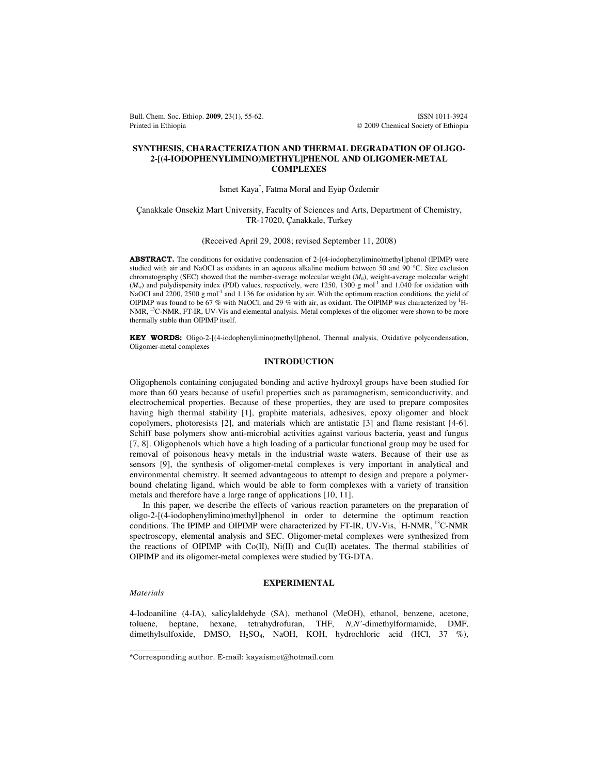Bull. Chem. Soc. Ethiop. **2009**, 23(1), 55-62. ISSN 1011-3924 Printed in Ethiopia **2009** Chemical Society of Ethiopia

# **SYNTHESIS, CHARACTERIZATION AND THERMAL DEGRADATION OF OLIGO-2-[(4-IODOPHENYLIMINO)METHYL]PHENOL AND OLIGOMER-METAL COMPLEXES**

# İsmet Kaya\* , Fatma Moral and Eyüp Özdemir

## Çanakkale Onsekiz Mart University, Faculty of Sciences and Arts, Department of Chemistry, TR-17020, Çanakkale, Turkey

## (Received April 29, 2008; revised September 11, 2008)

ABSTRACT. The conditions for oxidative condensation of 2-[(4-iodophenylimino)methyl]phenol (IPIMP) were studied with air and NaOCl as oxidants in an aqueous alkaline medium between 50 and 90 °C. Size exclusion chromatography (SEC) showed that the number-average molecular weight (*Mn*), weight-average molecular weight  $(M_w)$  and polydispersity index (PDI) values, respectively, were 1250, 1300 g mol<sup>-1</sup> and 1.040 for oxidation with NaOCl and 2200, 2500 g mol<sup>-1</sup> and 1.136 for oxidation by air. With the optimum reaction conditions, the yield of OIPIMP was found to be 67 % with NaOCl, and 29 % with air, as oxidant. The OIPIMP was characterized by <sup>1</sup>H-NMR,<sup>13</sup>C-NMR, FT-IR, UV-Vis and elemental analysis. Metal complexes of the oligomer were shown to be more thermally stable than OIPIMP itself.

KEY WORDS: Oligo-2-[(4-iodophenylimino)methyl]phenol, Thermal analysis, Oxidative polycondensation, Oligomer-metal complexes

## **INTRODUCTION**

Oligophenols containing conjugated bonding and active hydroxyl groups have been studied for more than 60 years because of useful properties such as paramagnetism, semiconductivity, and electrochemical properties. Because of these properties, they are used to prepare composites having high thermal stability [1], graphite materials, adhesives, epoxy oligomer and block copolymers, photoresists [2], and materials which are antistatic [3] and flame resistant [4-6]. Schiff base polymers show anti-microbial activities against various bacteria, yeast and fungus [7, 8]. Oligophenols which have a high loading of a particular functional group may be used for removal of poisonous heavy metals in the industrial waste waters. Because of their use as sensors [9], the synthesis of oligomer-metal complexes is very important in analytical and environmental chemistry. It seemed advantageous to attempt to design and prepare a polymerbound chelating ligand, which would be able to form complexes with a variety of transition metals and therefore have a large range of applications [10, 11].

In this paper, we describe the effects of various reaction parameters on the preparation of oligo-2-[(4-iodophenylimino)methyl]phenol in order to determine the optimum reaction conditions. The IPIMP and OIPIMP were characterized by FT-IR, UV-Vis,  ${}^{1}$ H-NMR,  ${}^{13}$ C-NMR spectroscopy, elemental analysis and SEC. Oligomer-metal complexes were synthesized from the reactions of OIPIMP with  $Co(II)$ ,  $Ni(II)$  and  $Cu(II)$  acetates. The thermal stabilities of OIPIMP and its oligomer-metal complexes were studied by TG-DTA.

### **EXPERIMENTAL**

### *Materials*

 $\overline{\phantom{a}}$ 

4-Iodoaniline (4-IA), salicylaldehyde (SA), methanol (MeOH), ethanol, benzene, acetone, toluene, heptane, hexane, tetrahydrofuran, THF, *N,N'*-dimethylformamide, DMF, dimethylsulfoxide, DMSO, H<sub>2</sub>SO<sub>4</sub>, NaOH, KOH, hydrochloric acid (HCl, 37 %),

<sup>\*</sup>Corresponding author. E-mail: kayaismet@hotmail.com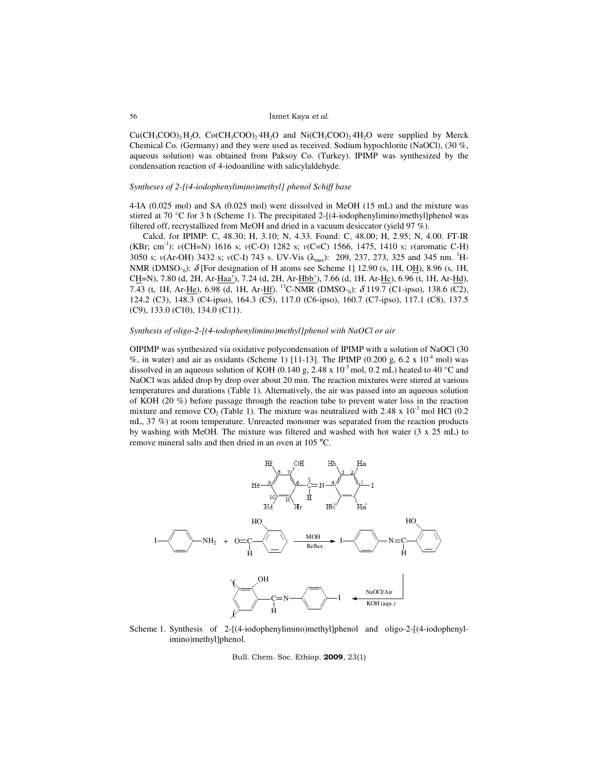$Cu(CH_3COO)_2H_2O$ ,  $Co(CH_3COO)_24H_2O$  and  $Ni(CH_3COO)_24H_2O$  were supplied by Merck Chemical Co. (Germany) and they were used as received. Sodium hypochlorite (NaOCl), (30 %, aqueous solution) was obtained from Paksoy Co. (Turkey). IPIMP was synthesized by the condensation reaction of 4-iodoaniline with salicylaldehyde.

## *Syntheses of 2-[(4-iodophenylimino)methyl] phenol Schiff base*

4-IA (0.025 mol) and SA (0.025 mol) were dissolved in MeOH (15 mL) and the mixture was stirred at 70 °C for 3 h (Scheme 1). The precipitated 2-[(4-iodophenylimino)methyl]phenol was filtered off, recrystallized from MeOH and dried in a vacuum desiccator (yield 97 %).

Calcd. for IPIMP: C, 48.30; H, 3.10; N, 4.33. Found: C, 48.00; H, 2.95; N, 4.00. FT-IR (KBr; cm-1): *v*(CH=N) 1616 s; *v*(C-O) 1282 s; *v*(C=C) 1566, 1475, 1410 s; *v*(aromatic C-H) 3050 s;  $v(\text{Ar-OH})$  3432 s;  $v(\text{C-I})$  743 s. UV-Vis  $(\lambda_{\text{max}})$ : 209, 237, 273, 325 and 345 nm. <sup>1</sup>H-NMR (DMSO-6):  $\delta$  [For designation of H atoms see Scheme 1] 12.90 (s, 1H, OH), 8.96 (s, 1H, CH=N), 7.80 (d, 2H, Ar-Haa'), 7.24 (d, 2H, Ar-Hbb'), 7.66 (d, 1H, Ar-Hc), 6.96 (t, 1H, Ar-Hd), 7.43 (t, 1H, Ar-<u>He</u>), 6.98 (d, 1H, Ar-<u>Hf</u>). <sup>13</sup>C-NMR (DMSO-<sub>6</sub>): δ 119.7 (C1-ipso), 138.6 (C2), 124.2 (C3), 148.3 (C4-ipso), 164.3 (C5), 117.0 (C6-ipso), 160.7 (C7-ipso), 117.1 (C8), 137.5 (C9), 133.0 (C10), 134.0 (C11).

### *Synthesis of oligo-2-[(4-iodophenylimino)methyl]phenol with NaOCl or air*

OIPIMP was synthesized via oxidative polycondensation of IPIMP with a solution of NaOCl (30 %, in water) and air as oxidants (Scheme 1) [11-13]. The IPIMP (0.200 g, 6.2 x  $10^{-4}$  mol) was dissolved in an aqueous solution of KOH (0.140 g, 2.48 x  $10^{-3}$  mol, 0.2 mL) heated to 40 °C and NaOCl was added drop by drop over about 20 min. The reaction mixtures were stirred at various temperatures and durations (Table 1). Alternatively, the air was passed into an aqueous solution of KOH (20 %) before passage through the reaction tube to prevent water loss in the reaction mixture and remove  $CO_2$  (Table 1). The mixture was neutralized with 2.48 x 10<sup>-3</sup> mol HCl (0.2) mL, 37 %) at room temperature. Unreacted monomer was separated from the reaction products by washing with MeOH. The mixture was filtered and washed with hot water (3 x 25 mL) to remove mineral salts and then dried in an oven at 105 °C.



Scheme 1. Synthesis of 2-[(4-iodophenylimino)methyl]phenol and oligo-2-[(4-iodophenylimino)methyl]phenol.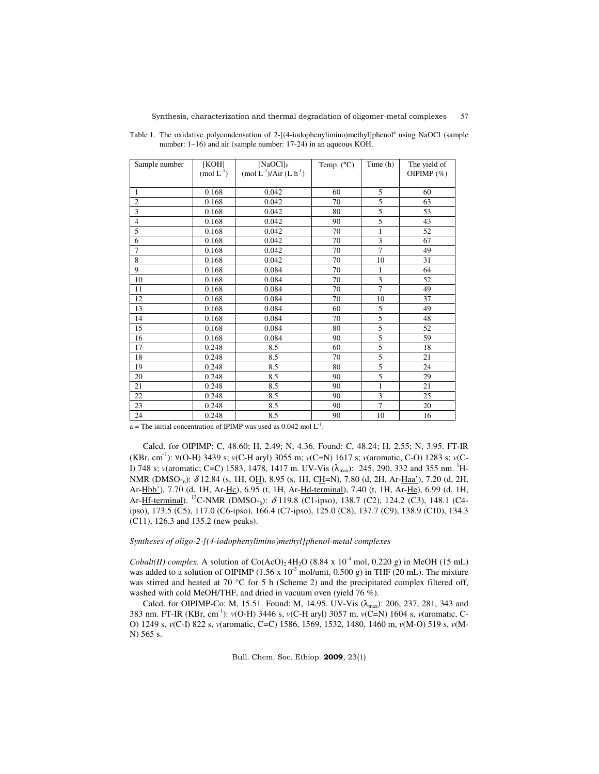| Sample number  | [KOH]       | [ $NaOC1]_0$            | Temp. $(^{\circ}C)$ | Time (h)       | The yield of  |
|----------------|-------------|-------------------------|---------------------|----------------|---------------|
|                | $(mod L-1)$ | $(mod L-1)/Air (L h-1)$ |                     |                | OIPIMP $(\%)$ |
|                |             |                         |                     |                |               |
| $\mathbf{1}$   | 0.168       | 0.042                   | 60                  | 5              | 60            |
| $\overline{2}$ | 0.168       | 0.042                   | 70                  | 5              | 63            |
| 3              | 0.168       | 0.042                   | 80                  | 5              | 53            |
| $\overline{4}$ | 0.168       | 0.042                   | 90                  | 5              | 43            |
| 5              | 0.168       | 0.042                   | 70                  | 1              | 52            |
| 6              | 0.168       | 0.042                   | 70                  | 3              | 67            |
| $\overline{7}$ | 0.168       | 0.042                   | 70                  | $\overline{7}$ | 49            |
| 8              | 0.168       | 0.042                   | 70                  | 10             | 31            |
| 9              | 0.168       | 0.084                   | 70                  | 1              | 64            |
| 10             | 0.168       | 0.084                   | 70                  | 3              | 52            |
| 11             | 0.168       | 0.084                   | 70                  | $\overline{7}$ | 49            |
| 12             | 0.168       | 0.084                   | 70                  | 10             | 37            |
| 13             | 0.168       | 0.084                   | 60                  | 5              | 49            |
| 14             | 0.168       | 0.084                   | 70                  | 5              | 48            |
| 15             | 0.168       | 0.084                   | 80                  | 5              | 52            |
| 16             | 0.168       | 0.084                   | 90                  | 5              | 59            |
| 17             | 0.248       | 8.5                     | 60                  | 5              | 18            |
| 18             | 0.248       | 8.5                     | 70                  | $\overline{5}$ | 21            |
| 19             | 0.248       | 8.5                     | 80                  | 5              | 24            |
| 20             | 0.248       | 8.5                     | 90                  | 5              | 29            |
| 21             | 0.248       | 8.5                     | 90                  | $\mathbf{1}$   | 21            |
| 22             | 0.248       | 8.5                     | 90                  | 3              | 25            |
| 23             | 0.248       | 8.5                     | 90                  | $\overline{7}$ | 20            |
| 24             | 0.248       | 8.5                     | 90                  | 10             | 16            |

Table 1. The oxidative polycondensation of 2-[(4-iodophenylimino)methyl]phenol<sup>a</sup> using NaOCl (sample number: 1–16) and air (sample number: 17-24) in an aqueous KOH.

 $a$  = The initial concentration of IPIMP was used as 0.042 mol  $L^{-1}$ .

Calcd. for OIPIMP: C, 48.60; H, 2.49; N, 4.36. Found: C, 48.24; H, 2.55; N, 3.95. FT-IR (KBr, cm-1): ν(O-H) 3439 s; *v*(C-H aryl) 3055 m; *v*(C=N) 1617 s; *v*(aromatic, C-O) 1283 s; *v*(C-I) 748 s; *v*(aromatic; C=C) 1583, 1478, 1417 m. UV-Vis (λ<sub>max</sub>): 245, 290, 332 and 355 nm. <sup>1</sup>H-NMR (DMSO-<sub>6</sub>): δ 12.84 (s, 1H, O<u>H</u>), 8.95 (s, 1H, C<u>H</u>=N), 7.80 (d, 2H, Ar-<u>Haa'</u>), 7.20 (d, 2H, Ar-Hbb'), 7.70 (d, 1H, Ar-Hc), 6.95 (t, 1H, Ar-Hd-terminal), 7.40 (t, 1H, Ar-He), 6.99 (d, 1H, Ar-**Hf-terminal**). <sup>13</sup>C-NMR (DMSO-<sub>6</sub>): δ 119.8 (C1-ipso), 138.7 (C2), 124.2 (C3), 148.1 (C4ipso), 173.5 (C5), 117.0 (C6-ipso), 166.4 (C7-ipso), 125.0 (C8), 137.7 (C9), 138.9 (C10), 134.3 (C11), 126.3 and 135.2 (new peaks).

## *Syntheses of oligo-2-[(4-iodophenylimino)methyl]phenol-metal complexes*

*Cobalt(II) complex.* A solution of  $Co(AcO)_24H_2O$  (8.84 x 10<sup>-4</sup> mol, 0.220 g) in MeOH (15 mL) was added to a solution of OIPIMP (1.56 x 10<sup>-3</sup> mol/unit, 0.500 g) in THF (20 mL). The mixture was stirred and heated at 70 °C for 5 h (Scheme 2) and the precipitated complex filtered off, washed with cold MeOH/THF, and dried in vacuum oven (yield 76 %).

Calcd. for OIPIMP-Co: M, 15.51. Found: M, 14.95. UV-Vis  $(\lambda_{\text{max}})$ : 206, 237, 281, 343 and 383 nm. FT-IR (KBr, cm-1): *v*(O-H) 3446 s, *v*(C-H aryl) 3057 m, *v*(C=N) 1604 s, *v*(aromatic, C-O) 1249 s, *v*(C-I) 822 s, *v*(aromatic, C=C) 1586, 1569, 1532, 1480, 1460 m, *v*(M-O) 519 s, *v*(M-N) 565 s.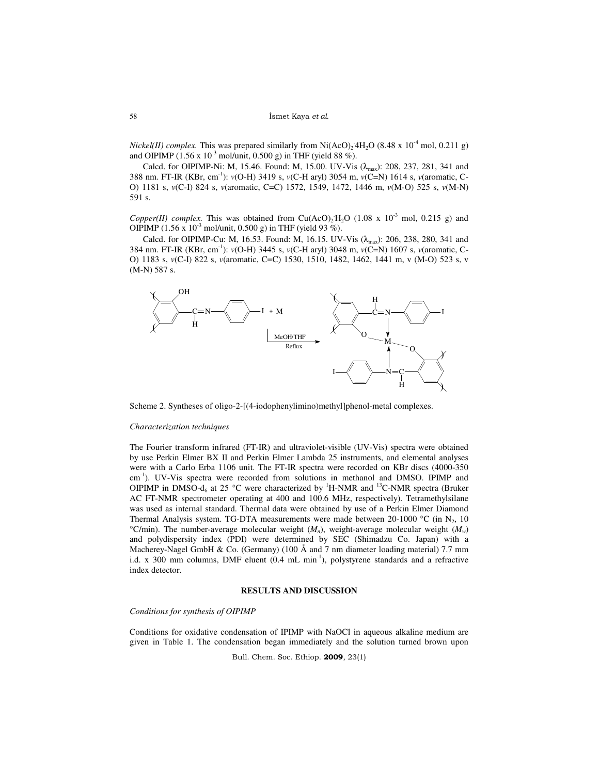*Nickel(II) complex*. This was prepared similarly from Ni(AcO)<sub>2</sub><sup>4</sup>H<sub>2</sub>O (8.48 x 10<sup>-4</sup> mol, 0.211 g) and OIPIMP (1.56 x  $10^{-3}$  mol/unit, 0.500 g) in THF (yield 88 %).

Calcd. for OIPIMP-Ni: M, 15.46. Found: M, 15.00. UV-Vis  $(\lambda_{\text{max}})$ : 208, 237, 281, 341 and 388 nm. FT-IR (KBr, cm-1): *v*(O-H) 3419 s, *v*(C-H aryl) 3054 m, *v*(C=N) 1614 s, *v*(aromatic, C-O) 1181 s, *v*(C-I) 824 s, *v*(aromatic, C=C) 1572, 1549, 1472, 1446 m, *v*(M-O) 525 s, *v*(M-N) 591 s.

Copper(II) complex. This was obtained from Cu(AcO)<sub>2</sub>H<sub>2</sub>O (1.08 x 10<sup>-3</sup> mol, 0.215 g) and OIPIMP (1.56 x  $10^{-3}$  mol/unit, 0.500 g) in THF (yield 93 %).

Calcd. for OIPIMP-Cu: M, 16.53. Found: M, 16.15. UV-Vis  $(\lambda_{\text{max}})$ : 206, 238, 280, 341 and 384 nm. FT-IR (KBr, cm-1): *v*(O-H) 3445 s, *v*(C-H aryl) 3048 m, *v*(C=N) 1607 s, *v*(aromatic, C-O) 1183 s, *v*(C-I) 822 s, *v*(aromatic, C=C) 1530, 1510, 1482, 1462, 1441 m, v (M-O) 523 s, v (M-N) 587 s.



Scheme 2. Syntheses of oligo-2-[(4-iodophenylimino)methyl]phenol-metal complexes.

#### *Characterization techniques*

The Fourier transform infrared (FT-IR) and ultraviolet-visible (UV-Vis) spectra were obtained by use Perkin Elmer BX II and Perkin Elmer Lambda 25 instruments, and elemental analyses were with a Carlo Erba 1106 unit. The FT-IR spectra were recorded on KBr discs (4000-350 cm<sup>-1</sup>). UV-Vis spectra were recorded from solutions in methanol and DMSO. IPIMP and OIPIMP in DMSO- $d_6$  at 25 °C were characterized by <sup>1</sup>H-NMR and <sup>13</sup>C-NMR spectra (Bruker AC FT-NMR spectrometer operating at 400 and 100.6 MHz, respectively). Tetramethylsilane was used as internal standard. Thermal data were obtained by use of a Perkin Elmer Diamond Thermal Analysis system. TG-DTA measurements were made between 20-1000 °C (in  $N_2$ , 10 <sup>o</sup>C/min). The number-average molecular weight  $(M_n)$ , weight-average molecular weight  $(M_w)$ and polydispersity index (PDI) were determined by SEC (Shimadzu Co. Japan) with a Macherey-Nagel GmbH & Co. (Germany) (100  $\AA$  and 7 nm diameter loading material) 7.7 mm i.d. x 300 mm columns, DMF eluent  $(0.4 \text{ mL min}^{-1})$ , polystyrene standards and a refractive index detector.

## **RESULTS AND DISCUSSION**

## *Conditions for synthesis of OIPIMP*

Conditions for oxidative condensation of IPIMP with NaOCl in aqueous alkaline medium are given in Table 1. The condensation began immediately and the solution turned brown upon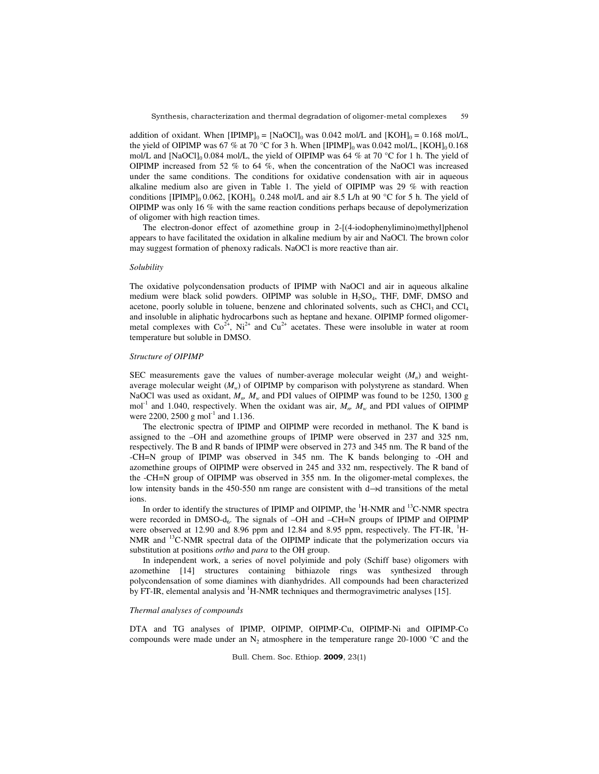addition of oxidant. When  $[IPIMP]_0 = [NaOCl]_0$  was 0.042 mol/L and  $[KOH]_0 = 0.168$  mol/L, the yield of OIPIMP was 67 % at 70 °C for 3 h. When  $[IPIMP]_0$  was 0.042 mol/L,  $[KOH]_0$  0.168 mol/L and [NaOCl]<sub>0</sub> 0.084 mol/L, the yield of OIPIMP was 64 % at 70 °C for 1 h. The yield of OIPIMP increased from 52 % to 64 %, when the concentration of the NaOCl was increased under the same conditions. The conditions for oxidative condensation with air in aqueous alkaline medium also are given in Table 1. The yield of OIPIMP was 29 % with reaction conditions [IPIMP]<sub>0</sub> 0.062, [KOH]<sub>0</sub> 0.248 mol/L and air 8.5 L/h at 90 °C for 5 h. The yield of OIPIMP was only 16 % with the same reaction conditions perhaps because of depolymerization of oligomer with high reaction times.

The electron-donor effect of azomethine group in 2-[(4-iodophenylimino)methyl]phenol appears to have facilitated the oxidation in alkaline medium by air and NaOCl. The brown color may suggest formation of phenoxy radicals. NaOCl is more reactive than air.

## *Solubility*

The oxidative polycondensation products of IPIMP with NaOCl and air in aqueous alkaline medium were black solid powders. OIPIMP was soluble in  $H_2SO_4$ , THF, DMF, DMSO and acetone, poorly soluble in toluene, benzene and chlorinated solvents, such as  $CHCl<sub>3</sub>$  and  $CCl<sub>4</sub>$ and insoluble in aliphatic hydrocarbons such as heptane and hexane. OIPIMP formed oligomermetal complexes with  $Co^{2+}$ , Ni<sup>2+</sup> and  $Cu^{2+}$  acetates. These were insoluble in water at room temperature but soluble in DMSO.

# *Structure of OIPIMP*

SEC measurements gave the values of number-average molecular weight  $(M<sub>n</sub>)$  and weightaverage molecular weight  $(M_w)$  of OIPIMP by comparison with polystyrene as standard. When NaOCl was used as oxidant,  $M_n$ ,  $M_w$  and PDI values of OIPIMP was found to be 1250, 1300 g mol<sup>-1</sup> and 1.040, respectively. When the oxidant was air,  $M_m$ ,  $M_w$  and PDI values of OIPIMP were 2200, 2500 g mol<sup>-1</sup> and 1.136.

The electronic spectra of IPIMP and OIPIMP were recorded in methanol. The K band is assigned to the –OH and azomethine groups of IPIMP were observed in 237 and 325 nm, respectively. The B and R bands of IPIMP were observed in 273 and 345 nm. The R band of the -CH=N group of IPIMP was observed in 345 nm. The K bands belonging to -OH and azomethine groups of OIPIMP were observed in 245 and 332 nm, respectively. The R band of the -CH=N group of OIPIMP was observed in 355 nm. In the oligomer-metal complexes, the low intensity bands in the 450-550 nm range are consistent with d→d transitions of the metal ions.

In order to identify the structures of IPIMP and OIPIMP, the <sup>1</sup>H-NMR and <sup>13</sup>C-NMR spectra were recorded in DMSO-d<sub>6</sub>. The signals of -OH and -CH=N groups of IPIMP and OIPIMP were observed at 12.90 and 8.96 ppm and 12.84 and 8.95 ppm, respectively. The FT-IR, <sup>1</sup>H-NMR and <sup>13</sup>C-NMR spectral data of the OIPIMP indicate that the polymerization occurs via substitution at positions *ortho* and *para* to the OH group.

In independent work, a series of novel polyimide and poly (Schiff base) oligomers with azomethine [14] structures containing bithiazole rings was synthesized through polycondensation of some diamines with dianhydrides. All compounds had been characterized by FT-IR, elemental analysis and  ${}^{1}$ H-NMR techniques and thermogravimetric analyses [15].

### *Thermal analyses of compounds*

DTA and TG analyses of IPIMP, OIPIMP, OIPIMP-Cu, OIPIMP-Ni and OIPIMP-Co compounds were made under an  $N_2$  atmosphere in the temperature range 20-1000 °C and the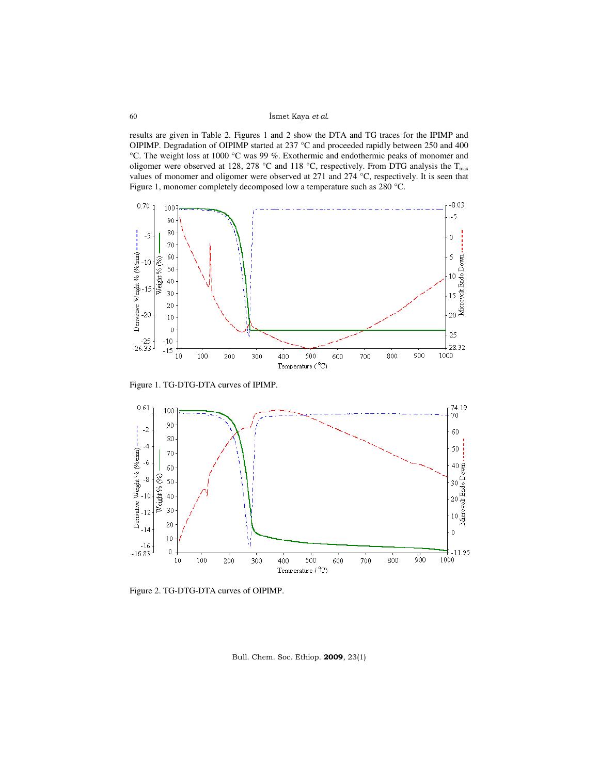results are given in Table 2. Figures 1 and 2 show the DTA and TG traces for the IPIMP and OIPIMP. Degradation of OIPIMP started at 237 °C and proceeded rapidly between 250 and 400 °C. The weight loss at 1000 °C was 99 %. Exothermic and endothermic peaks of monomer and oligomer were observed at 128, 278 °C and 118 °C, respectively. From DTG analysis the  $T_{max}$ values of monomer and oligomer were observed at 271 and 274 °C, respectively. It is seen that Figure 1, monomer completely decomposed low a temperature such as 280 °C.



Figure 1. TG-DTG-DTA curves of IPIMP.



Figure 2. TG-DTG-DTA curves of OIPIMP.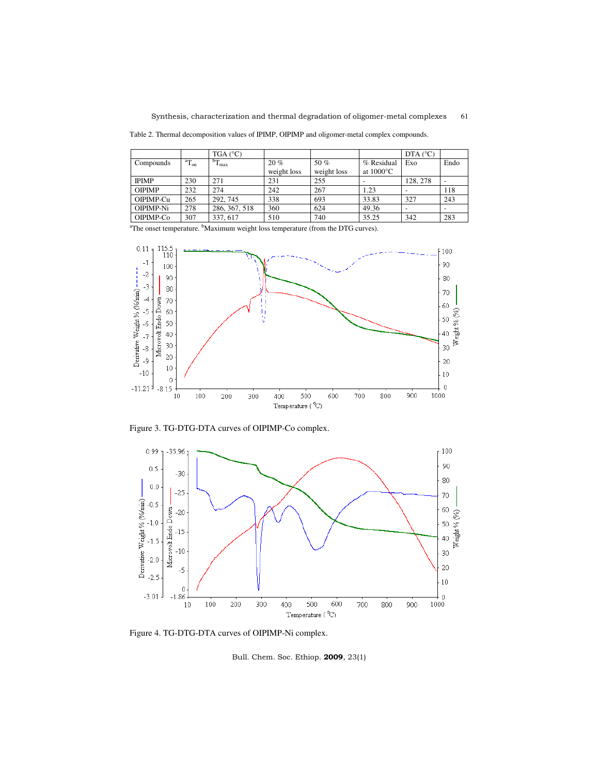Table 2. Thermal decomposition values of IPIMP, OIPIMP and oligomer-metal complex compounds.

|               |          | $TGA(^{\circ}C)$ |             |             |                     | DTA $(^{\circ}C)$ |                          |
|---------------|----------|------------------|-------------|-------------|---------------------|-------------------|--------------------------|
| Compounds     | $T_{on}$ | $T_{\rm max}$    | 20%         | 50 %        | % Residual          | Exo               | Endo                     |
|               |          |                  | weight loss | weight loss | at $1000^{\circ}$ C |                   |                          |
| <b>IPIMP</b>  | 230      | 271              | 231         | 255         |                     | 128.278           | $\overline{\phantom{a}}$ |
| <b>OIPIMP</b> | 232      | 274              | 242         | 267         | 1.23                |                   | 118                      |
| OIPIMP-Cu     | 265      | 292, 745         | 338         | 693         | 33.83               | 327               | 243                      |
| OIPIMP-Ni     | 278      | 286, 367, 518    | 360         | 624         | 49.36               |                   |                          |
| OIPIMP-Co     | 307      | 337, 617         | 510         | 740         | 35.25               | 342               | 283                      |

<sup>a</sup>The onset temperature. <sup>b</sup>Maximum weight loss temperature (from the DTG curves).



Figure 3. TG-DTG-DTA curves of OIPIMP-Co complex.



Figure 4. TG-DTG-DTA curves of OIPIMP-Ni complex.

Bull. Chem. Soc. Ethiop. 2009, 23(1)